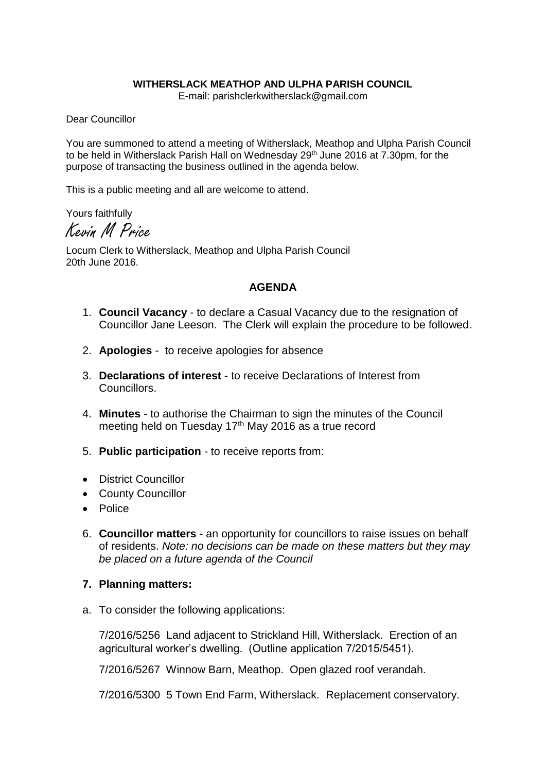## **WITHERSLACK MEATHOP AND ULPHA PARISH COUNCIL**

E-mail: parishclerkwitherslack@gmail.com

Dear Councillor

You are summoned to attend a meeting of Witherslack, Meathop and Ulpha Parish Council to be held in Witherslack Parish Hall on Wednesday 29<sup>th</sup> June 2016 at 7.30pm, for the purpose of transacting the business outlined in the agenda below.

This is a public meeting and all are welcome to attend.

Yours faithfully

Kevin M Price

Locum Clerk to Witherslack, Meathop and Ulpha Parish Council 20th June 2016.

## **AGENDA**

- 1. **Council Vacancy** to declare a Casual Vacancy due to the resignation of Councillor Jane Leeson. The Clerk will explain the procedure to be followed.
- 2. **Apologies** to receive apologies for absence
- 3. **Declarations of interest -** to receive Declarations of Interest from Councillors.
- 4. **Minutes** to authorise the Chairman to sign the minutes of the Council meeting held on Tuesday 17<sup>th</sup> May 2016 as a true record
- 5. **Public participation** to receive reports from:
- District Councillor
- County Councillor
- Police
- 6. **Councillor matters** an opportunity for councillors to raise issues on behalf of residents. *Note: no decisions can be made on these matters but they may be placed on a future agenda of the Council*

## **7. Planning matters:**

a. To consider the following applications:

7/2016/5256 Land adjacent to Strickland Hill, Witherslack. Erection of an agricultural worker's dwelling. (Outline application 7/2015/5451).

7/2016/5267 Winnow Barn, Meathop. Open glazed roof verandah.

7/2016/5300 5 Town End Farm, Witherslack. Replacement conservatory.